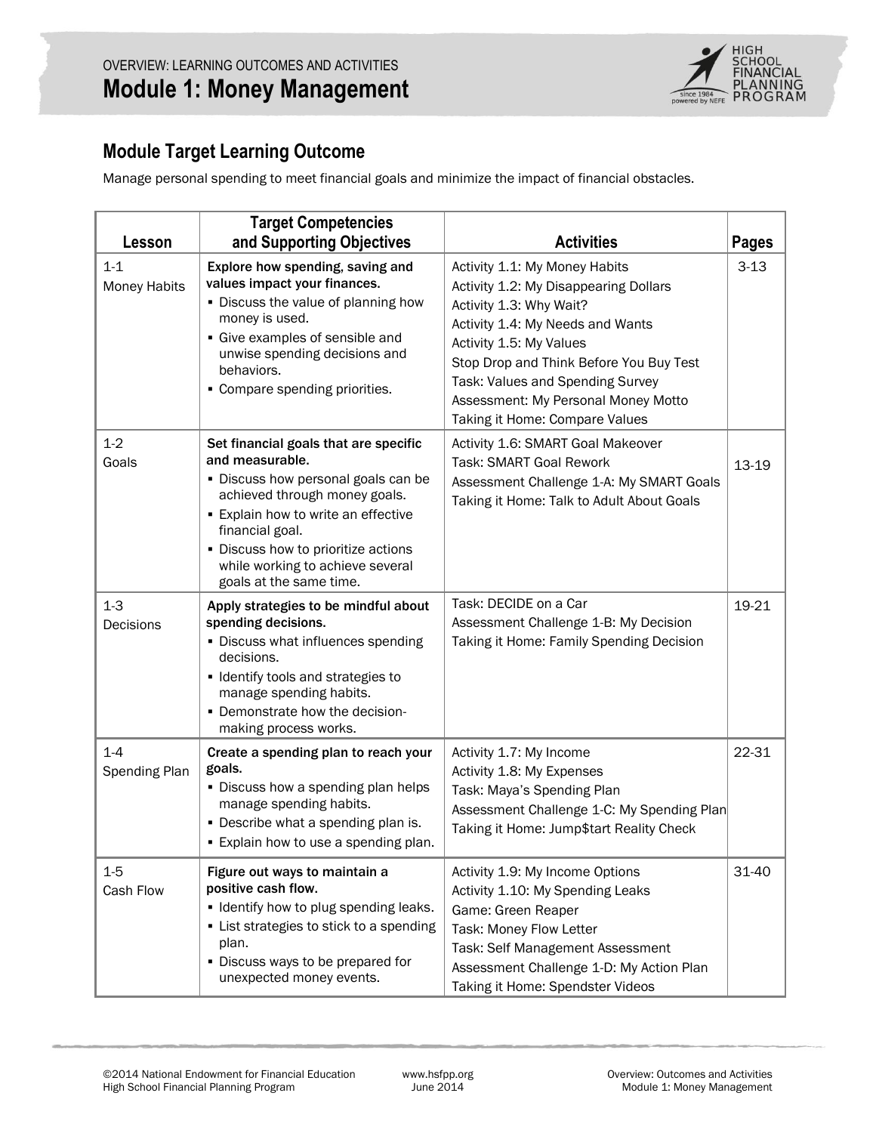

# **Module Target Learning Outcome**

Manage personal spending to meet financial goals and minimize the impact of financial obstacles.

| Lesson                         | <b>Target Competencies</b><br>and Supporting Objectives                                                                                                                                                                                                                                               | <b>Activities</b>                                                                                                                                                                                                                                                                                                        | <b>Pages</b> |
|--------------------------------|-------------------------------------------------------------------------------------------------------------------------------------------------------------------------------------------------------------------------------------------------------------------------------------------------------|--------------------------------------------------------------------------------------------------------------------------------------------------------------------------------------------------------------------------------------------------------------------------------------------------------------------------|--------------|
| $1 - 1$<br><b>Money Habits</b> | Explore how spending, saving and<br>values impact your finances.<br>. Discuss the value of planning how<br>money is used.<br>• Give examples of sensible and<br>unwise spending decisions and<br>behaviors.<br>• Compare spending priorities.                                                         | Activity 1.1: My Money Habits<br>Activity 1.2: My Disappearing Dollars<br>Activity 1.3: Why Wait?<br>Activity 1.4: My Needs and Wants<br>Activity 1.5: My Values<br>Stop Drop and Think Before You Buy Test<br>Task: Values and Spending Survey<br>Assessment: My Personal Money Motto<br>Taking it Home: Compare Values | $3 - 13$     |
| $1 - 2$<br>Goals               | Set financial goals that are specific<br>and measurable.<br>• Discuss how personal goals can be<br>achieved through money goals.<br><b>Explain how to write an effective</b><br>financial goal.<br>• Discuss how to prioritize actions<br>while working to achieve several<br>goals at the same time. | Activity 1.6: SMART Goal Makeover<br><b>Task: SMART Goal Rework</b><br>Assessment Challenge 1-A: My SMART Goals<br>Taking it Home: Talk to Adult About Goals                                                                                                                                                             | $13 - 19$    |
| $1-3$<br>Decisions             | Apply strategies to be mindful about<br>spending decisions.<br>• Discuss what influences spending<br>decisions.<br>• Identify tools and strategies to<br>manage spending habits.<br>- Demonstrate how the decision-<br>making process works.                                                          | Task: DECIDE on a Car<br>Assessment Challenge 1-B: My Decision<br>Taking it Home: Family Spending Decision                                                                                                                                                                                                               | 19-21        |
| $1-4$<br><b>Spending Plan</b>  | Create a spending plan to reach your<br>goals.<br>. Discuss how a spending plan helps<br>manage spending habits.<br>• Describe what a spending plan is.<br>• Explain how to use a spending plan.                                                                                                      | Activity 1.7: My Income<br>Activity 1.8: My Expenses<br>Task: Maya's Spending Plan<br>Assessment Challenge 1-C: My Spending Plan<br>Taking it Home: Jump\$tart Reality Check                                                                                                                                             | 22-31        |
| $1-5$<br>Cash Flow             | Figure out ways to maintain a<br>positive cash flow.<br>• Identify how to plug spending leaks.<br>• List strategies to stick to a spending<br>plan.<br>• Discuss ways to be prepared for<br>unexpected money events.                                                                                  | Activity 1.9: My Income Options<br>Activity 1.10: My Spending Leaks<br>Game: Green Reaper<br>Task: Money Flow Letter<br>Task: Self Management Assessment<br>Assessment Challenge 1-D: My Action Plan<br>Taking it Home: Spendster Videos                                                                                 | 31-40        |